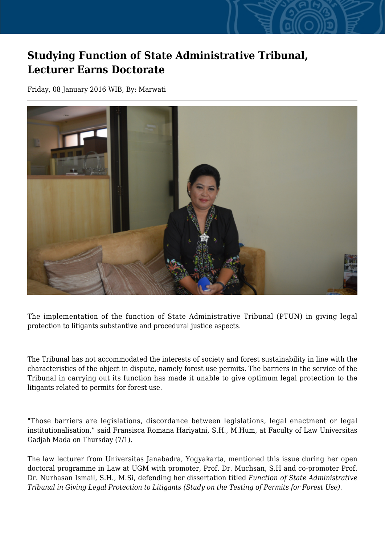## **Studying Function of State Administrative Tribunal, Lecturer Earns Doctorate**

Friday, 08 January 2016 WIB, By: Marwati



The implementation of the function of State Administrative Tribunal (PTUN) in giving legal protection to litigants substantive and procedural justice aspects.

The Tribunal has not accommodated the interests of society and forest sustainability in line with the characteristics of the object in dispute, namely forest use permits. The barriers in the service of the Tribunal in carrying out its function has made it unable to give optimum legal protection to the litigants related to permits for forest use.

"Those barriers are legislations, discordance between legislations, legal enactment or legal institutionalisation," said Fransisca Romana Hariyatni, S.H., M.Hum, at Faculty of Law Universitas Gadjah Mada on Thursday (7/1).

The law lecturer from Universitas Janabadra, Yogyakarta, mentioned this issue during her open doctoral programme in Law at UGM with promoter, Prof. Dr. Muchsan, S.H and co-promoter Prof. Dr. Nurhasan Ismail, S.H., M.Si, defending her dissertation titled *Function of State Administrative Tribunal in Giving Legal Protection to Litigants (Study on the Testing of Permits for Forest Use)*.